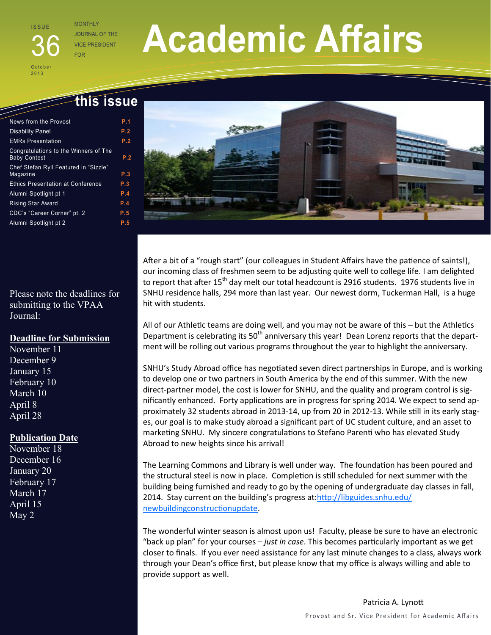# I S S U E

O c t o b e r 2013

JOURNAL OF THE **VICE PRESIDENT** 

# **Academic Affairs**

# **this issue**

| News from the Provost                                        | P.1 |
|--------------------------------------------------------------|-----|
| <b>Disability Panel</b>                                      | P.2 |
| <b>EMRs Presentation</b>                                     | P.2 |
| Congratulations to the Winners of The<br><b>Baby Contest</b> | P.2 |
| Chef Stefan Ryll Featured in "Sizzle"<br>Magazine            | P.3 |
| <b>Ethics Presentation at Conference</b>                     | P.3 |
| Alumni Spotlight pt 1                                        | P.4 |
| <b>Rising Star Award</b>                                     | P.4 |
| CDC's "Career Corner" pt. 2                                  | P.5 |
| Alumni Spotlight pt 2                                        | P.5 |

Please note the deadlines for submitting to the VPAA Journal:

#### **Deadline for Submission**

November 11 December 9 January 15 February 10 March 10 April 8 April 28

# **Publication Date**

November 18 December 16 January 20 February 17 March 17 April 15 May 2



After a bit of a "rough start" (our colleagues in Student Affairs have the patience of saints!), our incoming class of freshmen seem to be adjusting quite well to college life. I am delighted to report that after 15<sup>th</sup> day melt our total headcount is 2916 students. 1976 students live in SNHU residence halls, 294 more than last year. Our newest dorm, Tuckerman Hall, is a huge hit with students.

All of our Athletic teams are doing well, and you may not be aware of this – but the Athletics Department is celebrating its  $50<sup>th</sup>$  anniversary this year! Dean Lorenz reports that the department will be rolling out various programs throughout the year to highlight the anniversary.

SNHU's Study Abroad office has negotiated seven direct partnerships in Europe, and is working to develop one or two partners in South America by the end of this summer. With the new direct-partner model, the cost is lower for SNHU, and the quality and program control is significantly enhanced. Forty applications are in progress for spring 2014. We expect to send approximately 32 students abroad in 2013-14, up from 20 in 2012-13. While still in its early stages, our goal is to make study abroad a significant part of UC student culture, and an asset to marketing SNHU. My sincere congratulations to Stefano Parenti who has elevated Study Abroad to new heights since his arrival!

The Learning Commons and Library is well under way. The foundation has been poured and the structural steel is now in place. Completion is still scheduled for next summer with the building being furnished and ready to go by the opening of undergraduate day classes in fall, 2014. Stay current on the building's progress at[:http://libguides.snhu.edu/](https://portalmail.snhu.edu/owa/redir.aspx?C=Z5w7tfrK40-7C1Eg1P_DnVzTu3xOmtBIJs4-eSHyJrhJgRQqlxuema0srujZs9kSnIgSsezYgbU.&URL=http%3a%2f%2flibguides.snhu.edu%2fnewbuildingconstructionupdate) [newbuildingconstructionupdate.](https://portalmail.snhu.edu/owa/redir.aspx?C=Z5w7tfrK40-7C1Eg1P_DnVzTu3xOmtBIJs4-eSHyJrhJgRQqlxuema0srujZs9kSnIgSsezYgbU.&URL=http%3a%2f%2flibguides.snhu.edu%2fnewbuildingconstructionupdate)

The wonderful winter season is almost upon us! Faculty, please be sure to have an electronic "back up plan" for your courses – *just in case*. This becomes particularly important as we get closer to finals. If you ever need assistance for any last minute changes to a class, always work through your Dean's office first, but please know that my office is always willing and able to provide support as well.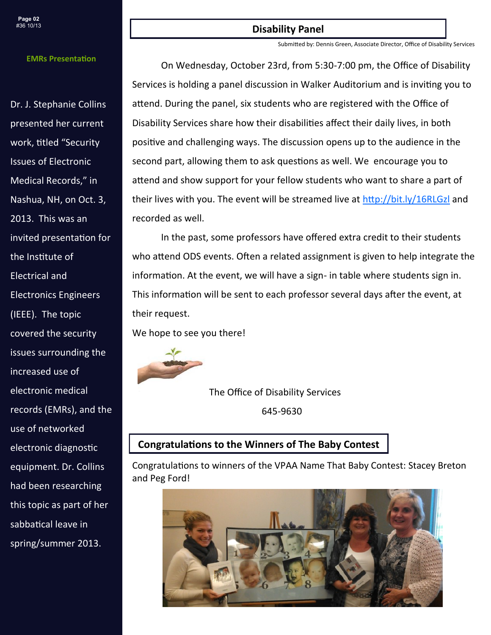#### **EMRs Presentation**

Dr. J. Stephanie Collins presented her current work, titled "Security Issues of Electronic Medical Records," in Nashua, NH, on Oct. 3, 2013. This was an invited presentation for the Institute of Electrical and Electronics Engineers (IEEE). The topic covered the security issues surrounding the increased use of electronic medical records (EMRs), and the use of networked electronic diagnostic equipment. Dr. Collins had been researching this topic as part of her sabbatical leave in spring/summer 2013.

#### **Disability Panel**

Submitted by: Dennis Green, Associate Director, Office of Disability Services

On Wednesday, October 23rd, from 5:30-7:00 pm, the Office of Disability Services is holding a panel discussion in Walker Auditorium and is inviting you to attend. During the panel, six students who are registered with the Office of Disability Services share how their disabilities affect their daily lives, in both positive and challenging ways. The discussion opens up to the audience in the second part, allowing them to ask questions as well. We encourage you to attend and show support for your fellow students who want to share a part of their lives with you. The event will be streamed live at<http://bit.ly/16RLGzl> and recorded as well.

In the past, some professors have offered extra credit to their students who attend ODS events. Often a related assignment is given to help integrate the information. At the event, we will have a sign- in table where students sign in. This information will be sent to each professor several days after the event, at their request.

We hope to see you there!



The Office of Disability Services

645-9630

#### **Congratulations to the Winners of The Baby Contest**

Congratulations to winners of the VPAA Name That Baby Contest: Stacey Breton and Peg Ford!

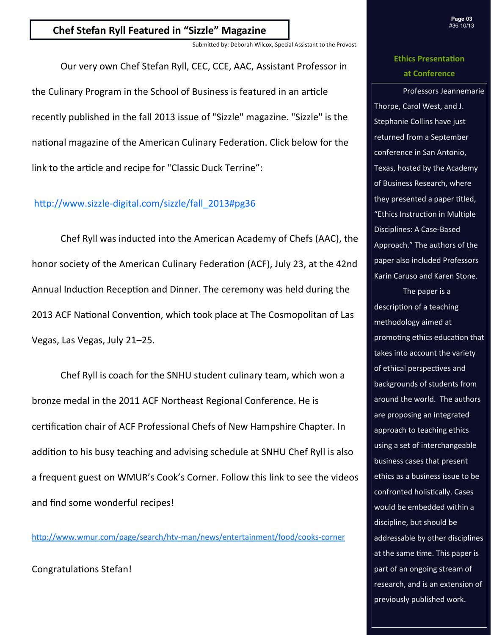# **Chef Stefan Ryll Featured in "Sizzle" Magazine**

Submitted by: Deborah Wilcox, Special Assistant to the Provost

Our very own Chef Stefan Ryll, CEC, CCE, AAC, Assistant Professor in the Culinary Program in the School of Business is featured in an article recently published in the fall 2013 issue of "Sizzle" magazine. "Sizzle" is the national magazine of the American Culinary Federation. Click below for the link to the article and recipe for "Classic Duck Terrine":

#### http://www.sizzle-[digital.com/sizzle/fall\\_2013#pg36](http://www.sizzle-digital.com/sizzle/fall_2013#pg36)

Chef Ryll was inducted into the American Academy of Chefs (AAC), the honor society of the American Culinary Federation (ACF), July 23, at the 42nd Annual Induction Reception and Dinner. The ceremony was held during the 2013 ACF National Convention, which took place at The Cosmopolitan of Las Vegas, Las Vegas, July 21–25.

Chef Ryll is coach for the SNHU student culinary team, which won a bronze medal in the 2011 ACF Northeast Regional Conference. He is certification chair of ACF Professional Chefs of New Hampshire Chapter. In addition to his busy teaching and advising schedule at SNHU Chef Ryll is also a frequent guest on WMUR's Cook's Corner. Follow this link to see the videos and find some wonderful recipes!

[http://www.wmur.com/page/search/htv](http://www.wmur.com/page/search/htv-man/news/entertainment/food/cooks-corner)-man/news/entertainment/food/cooks-corner

Congratulations Stefan!

# **Ethics Presentation at Conference**

Professors Jeannemarie Thorpe, Carol West, and J. Stephanie Collins have just returned from a September conference in San Antonio, Texas, hosted by the Academy of Business Research, where they presented a paper titled, "Ethics Instruction in Multiple Disciplines: A Case-Based Approach." The authors of the paper also included Professors Karin Caruso and Karen Stone.

The paper is a description of a teaching methodology aimed at promoting ethics education that takes into account the variety of ethical perspectives and backgrounds of students from around the world. The authors are proposing an integrated approach to teaching ethics using a set of interchangeable business cases that present ethics as a business issue to be confronted holistically. Cases would be embedded within a discipline, but should be addressable by other disciplines at the same time. This paper is part of an ongoing stream of research, and is an extension of previously published work.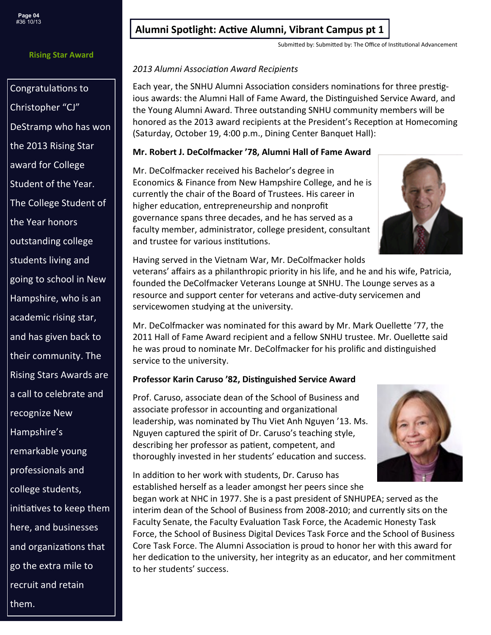#### **Rising Star Award**

Congratulations to Christopher "CJ" DeStramp who has won the 2013 Rising Star award for College Student of the Year. The College Student of the Year honors outstanding college students living and going to school in New Hampshire, who is an academic rising star, and has given back to their community. The Rising Stars Awards are a call to celebrate and recognize New Hampshire's remarkable young professionals and college students, initiatives to keep them here, and businesses and organizations that go the extra mile to recruit and retain them.

# **Alumni Spotlight: Active Alumni, Vibrant Campus pt 1**

Submitted by: Submitted by: The Office of Institutional Advancement

#### *2013 Alumni Association Award Recipients*

Each year, the SNHU Alumni Association considers nominations for three prestigious awards: the Alumni Hall of Fame Award, the Distinguished Service Award, and the Young Alumni Award. Three outstanding SNHU community members will be honored as the 2013 award recipients at the President's Reception at Homecoming (Saturday, October 19, 4:00 p.m., Dining Center Banquet Hall):

### **Mr. Robert J. DeColfmacker '78, Alumni Hall of Fame Award**

Mr. DeColfmacker received his Bachelor's degree in Economics & Finance from New Hampshire College, and he is currently the chair of the Board of Trustees. His career in higher education, entrepreneurship and nonprofit governance spans three decades, and he has served as a faculty member, administrator, college president, consultant and trustee for various institutions.



Having served in the Vietnam War, Mr. DeColfmacker holds

veterans' affairs as a philanthropic priority in his life, and he and his wife, Patricia, founded the DeColfmacker Veterans Lounge at SNHU. The Lounge serves as a resource and support center for veterans and active-duty servicemen and servicewomen studying at the university.

Mr. DeColfmacker was nominated for this award by Mr. Mark Ouellette '77, the 2011 Hall of Fame Award recipient and a fellow SNHU trustee. Mr. Ouellette said he was proud to nominate Mr. DeColfmacker for his prolific and distinguished service to the university.

# **Professor Karin Caruso '82, Distinguished Service Award**

Prof. Caruso, associate dean of the School of Business and associate professor in accounting and organizational leadership, was nominated by Thu Viet Anh Nguyen '13. Ms. Nguyen captured the spirit of Dr. Caruso's teaching style, describing her professor as patient, competent, and thoroughly invested in her students' education and success.

In addition to her work with students, Dr. Caruso has established herself as a leader amongst her peers since she

began work at NHC in 1977. She is a past president of SNHUPEA; served as the interim dean of the School of Business from 2008-2010; and currently sits on the Faculty Senate, the Faculty Evaluation Task Force, the Academic Honesty Task Force, the School of Business Digital Devices Task Force and the School of Business Core Task Force. The Alumni Association is proud to honor her with this award for her dedication to the university, her integrity as an educator, and her commitment to her students' success.